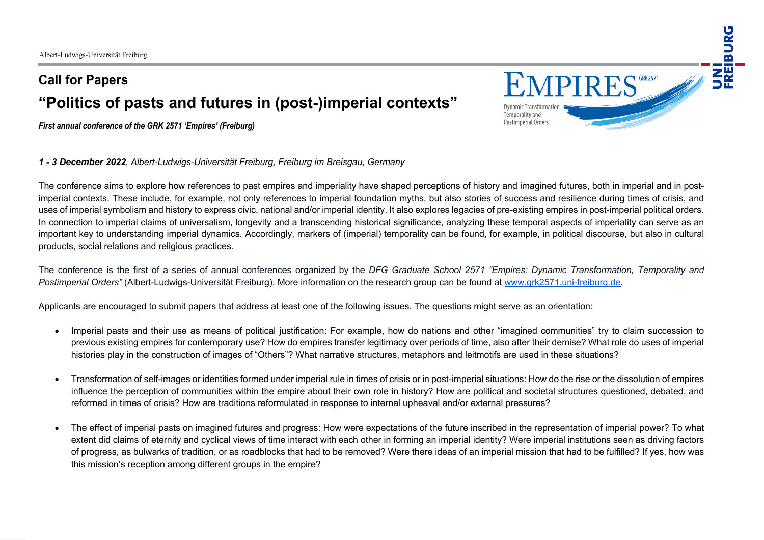## **Call for Papers "Politics of pasts and futures in (post-)imperial contexts"**

*First annual conference of the GRK 2571 'Empires' (Freiburg)*

*1 - 3 December 2022, Albert-Ludwigs-Universität Freiburg, Freiburg im Breisgau, Germany*

The conference aims to explore how references to past empires and imperiality have shaped perceptions of history and imagined futures, both in imperial and in postimperial contexts. These include, for example, not only references to imperial foundation myths, but also stories of success and resilience during times of crisis, and uses of imperial symbolism and history to express civic, national and/or imperial identity. It also explores legacies of pre-existing empires in post-imperial political orders. In connection to imperial claims of universalism, longevity and a transcending historical significance, analyzing these temporal aspects of imperiality can serve as an important key to understanding imperial dynamics. Accordingly, markers of (imperial) temporality can be found, for example, in political discourse, but also in cultural products, social relations and religious practices.

The conference is the first of a series of annual conferences organized by the *DFG Graduate School 2571 "Empires: Dynamic Transformation, Temporality and Postimperial Orders"* (Albert-Ludwigs-Universität Freiburg). More information on the research group can be found at www.grk2571.uni-freiburg.de.

Applicants are encouraged to submit papers that address at least one of the following issues. The questions might serve as an orientation:

- Imperial pasts and their use as means of political justification: For example, how do nations and other "imagined communities" try to claim succession to previous existing empires for contemporary use? How do empires transfer legitimacy over periods of time, also after their demise? What role do uses of imperial histories play in the construction of images of "Others"? What narrative structures, metaphors and leitmotifs are used in these situations?
- Transformation of self-images or identities formed under imperial rule in times of crisis or in post-imperial situations: How do the rise or the dissolution of empires influence the perception of communities within the empire about their own role in history? How are political and societal structures questioned, debated, and reformed in times of crisis? How are traditions reformulated in response to internal upheaval and/or external pressures?
- The effect of imperial pasts on imagined futures and progress: How were expectations of the future inscribed in the representation of imperial power? To what extent did claims of eternity and cyclical views of time interact with each other in forming an imperial identity? Were imperial institutions seen as driving factors of progress, as bulwarks of tradition, or as roadblocks that had to be removed? Were there ideas of an imperial mission that had to be fulfilled? If yes, how was this mission's reception among different groups in the empire?